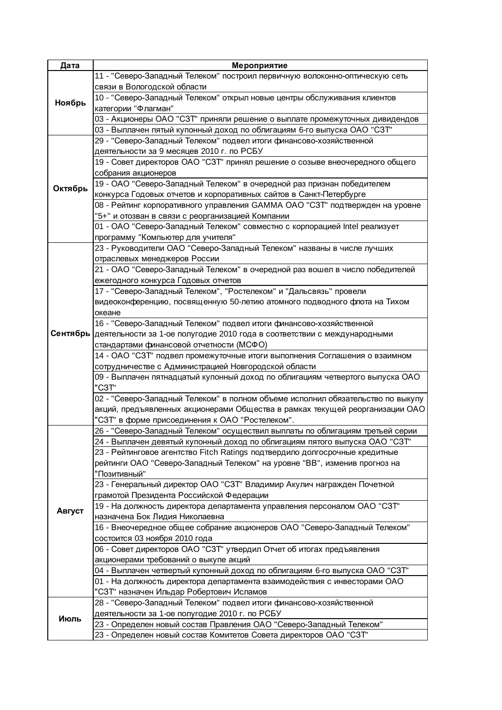| Дата    | Мероприятие                                                                                                |
|---------|------------------------------------------------------------------------------------------------------------|
| Ноябрь  | 11 - "Северо-Западный Телеком" построил первичную волоконно-оптическую сеть                                |
|         | связи в Вологодской области                                                                                |
|         | 10 - "Северо-Западный Телеком" открыл новые центры обслуживания клиентов                                   |
|         | категории "Флагман"                                                                                        |
|         | 03 - Акционеры ОАО "СЗТ" приняли решение о выплате промежуточных дивидендов                                |
|         | 03 - Выплачен пятый купонный доход по облигациям 6-го выпуска ОАО "СЗТ"                                    |
|         | 29 - "Северо-Западный Телеком" подвел итоги финансово-хозяйственной                                        |
|         | деятельности за 9 месяцев 2010 г. по РСБУ                                                                  |
| Октябрь | 19 - Совет директоров ОАО "СЗТ" принял решение о созыве внеочередного общего                               |
|         | собрания акционеров                                                                                        |
|         | 19 - ОАО "Северо-Западный Телеком" в очередной раз признан победителем                                     |
|         | конкурса Годовых отчетов и корпоративных сайтов в Санкт-Петербурге                                         |
|         | 08 - Рейтинг корпоративного управления GAMMA ОАО "СЗТ" подтвержден на уровне                               |
|         | "5+" и отозван в связи с реорганизацией Компании                                                           |
|         | 01 - ОАО "Северо-Западный Телеком" совместно с корпорацией Intel реализует                                 |
|         | программу "Компьютер для учителя"                                                                          |
|         | 23 - Руководители ОАО "Северо-Западный Телеком" названы в числе лучших                                     |
|         | отраслевых менеджеров России                                                                               |
|         | 21 - ОАО "Северо-Западный Телеком" в очередной раз вошел в число победителей                               |
|         | ежегодного конкурса Годовых отчетов                                                                        |
|         | 17 - "Северо-Западный Телеком", "Ростелеком" и "Дальсвязь" провели                                         |
|         | видеоконференцию, посвященную 50-летию атомного подводного флота на Тихом                                  |
|         | океане                                                                                                     |
|         | 16 - "Северо-Западный Телеком" подвел итоги финансово-хозяйственной                                        |
|         | Сентябрь деятельности за 1-ое полугодие 2010 года в соответствии с международными                          |
|         | стандартами финансовой отчетности (МСФО)                                                                   |
|         | 14 - ОАО "СЗТ" подвел промежуточные итоги выполнения Соглашения о взаимном                                 |
|         | сотрудничестве с Администрацией Новгородской области                                                       |
|         | 09 - Выплачен пятнадцатый купонный доход по облигациям четвертого выпуска ОАО                              |
|         | "C3T"                                                                                                      |
|         | 02 - "Северо-Западный Телеком" в полном объеме исполнил обязательство по выкупу                            |
|         | акций, предъявленных акционерами Общества в рамках текущей реорганизации ОАО                               |
|         | "СЗТ" в форме присоединения к ОАО "Ростелеком".                                                            |
|         | 26 - "Северо-Западный Телеком" осуществил выплаты по облигациям третьей серии                              |
|         | 24 - Выплачен девятый купонный доход по облигациям пятого выпуска ОАО "СЗТ"                                |
|         | 23 - Рейтинговое агентство Fitch Ratings подтвердило долгосрочные кредитные                                |
|         | рейтинги ОАО "Северо-Западный Телеком" на уровне "ВВ", изменив прогноз на                                  |
|         | "Позитивный"                                                                                               |
|         | 23 - Генеральный директор ОАО "СЗТ" Владимир Акулич награжден Почетной                                     |
|         | грамотой Президента Российской Федерации                                                                   |
| Август  | 19 - На должность директора департамента управления персоналом ОАО "СЗТ"                                   |
|         | назначена Бок Лидия Николаевна                                                                             |
|         | 16 - Внеочередное общее собрание акционеров ОАО "Северо-Западный Телеком"<br>состоится 03 ноября 2010 года |
|         | 06 - Совет директоров ОАО "СЗТ" утвердил Отчет об итогах предъявления                                      |
|         | акционерами требований о выкупе акций                                                                      |
|         | 04 - Выплачен четвертый купонный доход по облигациям 6-го выпуска ОАО "СЗТ"                                |
|         | 01 - На должность директора департамента взаимодействия с инвесторами ОАО                                  |
|         | "СЗТ" назначен Ильдар Робертович Исламов                                                                   |
| Июль    | 28 - "Северо-Западный Телеком" подвел итоги финансово-хозяйственной                                        |
|         | деятельности за 1-ое полугодие 2010 г. по РСБУ                                                             |
|         | 23 - Определен новый состав Правления ОАО "Северо-Западный Телеком"                                        |
|         | 23 - Определен новый состав Комитетов Совета директоров ОАО "СЗТ"                                          |
|         |                                                                                                            |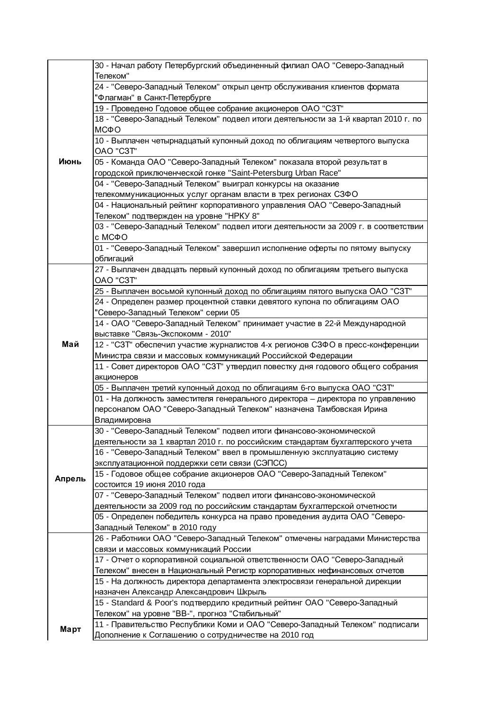| Июнь   | 30 - Начал работу Петербургский объединенный филиал ОАО "Северо-Западный<br>Телеком"   |
|--------|----------------------------------------------------------------------------------------|
|        | 24 - "Северо-Западный Телеком" открыл центр обслуживания клиентов формата              |
|        | "Флагман" в Санкт-Петербурге                                                           |
|        | 19 - Проведено Годовое общее собрание акционеров ОАО "СЗТ"                             |
|        | 18 - "Северо-Западный Телеком" подвел итоги деятельности за 1-й квартал 2010 г. по     |
|        | МСФО                                                                                   |
|        | 10 - Выплачен четырнадцатый купонный доход по облигациям четвертого выпуска            |
|        | OAO "C3T"                                                                              |
|        | 05 - Команда ОАО "Северо-Западный Телеком" показала второй результат в                 |
|        | городской приключенческой гонке "Saint-Petersburg Urban Race"                          |
|        | 04 - "Северо-Западный Телеком" выиграл конкурсы на оказание                            |
|        | телекоммуникационных услуг органам власти в трех регионах СЗФО                         |
|        | 04 - Национальный рейтинг корпоративного управления ОАО "Северо-Западный               |
|        | Телеком" подтвержден на уровне "НРКУ 8"                                                |
|        | 03 - "Северо-Западный Телеком" подвел итоги деятельности за 2009 г. в соответствии     |
|        | c MC <sub>Φ</sub> O                                                                    |
|        | 01 - "Северо-Западный Телеком" завершил исполнение оферты по пятому выпуску            |
|        | облигаций                                                                              |
|        | 27 - Выплачен двадцать первый купонный доход по облигациям третьего выпуска            |
|        | OAO "C3T"                                                                              |
|        | 25 - Выплачен восьмой купонный доход по облигациям пятого выпуска ОАО "СЗТ"            |
|        | 24 - Определен размер процентной ставки девятого купона по облигациям ОАО              |
|        | "Северо-Западный Телеком" серии 05                                                     |
|        | 14 - ОАО "Северо-Западный Телеком" принимает участие в 22-й Международной              |
|        | выставке "Связь-Экспокомм - 2010"                                                      |
| Май    | 12 - "СЗТ" обеспечил участие журналистов 4-х регионов СЗФО в пресс-конференции         |
|        | Министра связи и массовых коммуникаций Российской Федерации                            |
|        | 11 - Совет директоров ОАО "СЗТ" утвердил повестку дня годового общего собрания         |
|        | акционеров<br>05 - Выплачен третий купонный доход по облигациям 6-го выпуска ОАО "СЗТ" |
|        | 01 - На должность заместителя генерального директора - директора по управлению         |
|        | персоналом ОАО "Северо-Западный Телеком" назначена Тамбовская Ирина                    |
|        | Владимировна                                                                           |
|        | 30 - "Северо-Западный Телеком" подвел итоги финансово-экономической                    |
|        | деятельности за 1 квартал 2010 г. по российским стандартам бухгалтерского учета        |
|        | 16 - "Северо-Западный Телеком" ввел в промышленную эксплуатацию систему                |
|        | эксплуатационной поддержки сети связи (СЭПСС)                                          |
|        | 15 - Годовое общее собрание акционеров ОАО "Северо-Западный Телеком"                   |
| Апрель | состоится 19 июня 2010 года                                                            |
|        | 07 - "Северо-Западный Телеком" подвел итоги финансово-экономической                    |
|        | деятельности за 2009 год по российским стандартам бухгалтерской отчетности             |
|        | 05 - Определен победитель конкурса на право проведения аудита ОАО "Северо-             |
|        | Западный Телеком" в 2010 году                                                          |
|        | 26 - Работники ОАО "Северо-Западный Телеком" отмечены наградами Министерства           |
|        | связи и массовых коммуникаций России                                                   |
|        | 17 - Отчет о корпоративной социальной ответственности ОАО "Северо-Западный             |
|        | Телеком" внесен в Национальный Регистр корпоративных нефинансовых отчетов              |
|        | 15 - На должность директора департамента электросвязи генеральной дирекции             |
|        | назначен Александр Александрович Шкрыль                                                |
|        | 15 - Standard & Poor's подтвердило кредитный рейтинг ОАО "Северо-Западный              |
|        | Телеком" на уровне "ВВ-", прогноз "Стабильный"                                         |
| Март   | 11 - Правительство Республики Коми и ОАО "Северо-Западный Телеком" подписали           |
|        | Дополнение к Соглашению о сотрудничестве на 2010 год                                   |